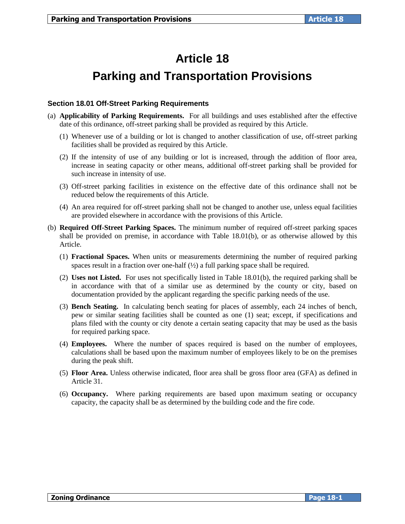# **Article 18 Parking and Transportation Provisions**

# **Section 18.01 Off-Street Parking Requirements**

- (a) **Applicability of Parking Requirements.** For all buildings and uses established after the effective date of this ordinance, off-street parking shall be provided as required by this Article.
	- (1) Whenever use of a building or lot is changed to another classification of use, off-street parking facilities shall be provided as required by this Article.
	- (2) If the intensity of use of any building or lot is increased, through the addition of floor area, increase in seating capacity or other means, additional off-street parking shall be provided for such increase in intensity of use.
	- (3) Off-street parking facilities in existence on the effective date of this ordinance shall not be reduced below the requirements of this Article.
	- (4) An area required for off-street parking shall not be changed to another use, unless equal facilities are provided elsewhere in accordance with the provisions of this Article.
- (b) **Required Off-Street Parking Spaces.** The minimum number of required off-street parking spaces shall be provided on premise, in accordance with Table 18.01(b), or as otherwise allowed by this Article.
	- (1) **Fractional Spaces.** When units or measurements determining the number of required parking spaces result in a fraction over one-half  $\frac{1}{2}$  a full parking space shall be required.
	- (2) **Uses not Listed.** For uses not specifically listed in Table 18.01(b), the required parking shall be in accordance with that of a similar use as determined by the county or city, based on documentation provided by the applicant regarding the specific parking needs of the use.
	- (3) **Bench Seating.** In calculating bench seating for places of assembly, each 24 inches of bench, pew or similar seating facilities shall be counted as one (1) seat; except, if specifications and plans filed with the county or city denote a certain seating capacity that may be used as the basis for required parking space.
	- (4) **Employees.** Where the number of spaces required is based on the number of employees, calculations shall be based upon the maximum number of employees likely to be on the premises during the peak shift.
	- (5) **Floor Area.** Unless otherwise indicated, floor area shall be gross floor area (GFA) as defined in Article 31.
	- (6) **Occupancy.** Where parking requirements are based upon maximum seating or occupancy capacity, the capacity shall be as determined by the building code and the fire code.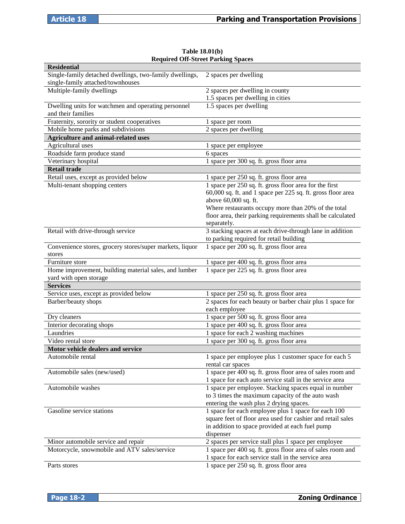| <b>Residential</b>                                                                           |                                                                                                                                                                                                                                                                                   |
|----------------------------------------------------------------------------------------------|-----------------------------------------------------------------------------------------------------------------------------------------------------------------------------------------------------------------------------------------------------------------------------------|
| Single-family detached dwellings, two-family dwellings,<br>single-family attached/townhouses | 2 spaces per dwelling                                                                                                                                                                                                                                                             |
| Multiple-family dwellings                                                                    | 2 spaces per dwelling in county<br>1.5 spaces per dwelling in cities                                                                                                                                                                                                              |
| Dwelling units for watchmen and operating personnel<br>and their families                    | 1.5 spaces per dwelling                                                                                                                                                                                                                                                           |
| Fraternity, sorority or student cooperatives                                                 | 1 space per room                                                                                                                                                                                                                                                                  |
| Mobile home parks and subdivisions                                                           | 2 spaces per dwelling                                                                                                                                                                                                                                                             |
| <b>Agriculture and animal-related uses</b>                                                   |                                                                                                                                                                                                                                                                                   |
| Agricultural uses                                                                            | 1 space per employee                                                                                                                                                                                                                                                              |
| Roadside farm produce stand                                                                  | 6 spaces                                                                                                                                                                                                                                                                          |
| Veterinary hospital                                                                          | 1 space per 300 sq. ft. gross floor area                                                                                                                                                                                                                                          |
| <b>Retail trade</b>                                                                          |                                                                                                                                                                                                                                                                                   |
| Retail uses, except as provided below                                                        | 1 space per 250 sq. ft. gross floor area                                                                                                                                                                                                                                          |
| Multi-tenant shopping centers                                                                | 1 space per 250 sq. ft. gross floor area for the first<br>60,000 sq. ft. and 1 space per 225 sq. ft. gross floor area<br>above 60,000 sq. ft.<br>Where restaurants occupy more than 20% of the total<br>floor area, their parking requirements shall be calculated<br>separately. |
| Retail with drive-through service                                                            | 3 stacking spaces at each drive-through lane in addition                                                                                                                                                                                                                          |
|                                                                                              | to parking required for retail building                                                                                                                                                                                                                                           |
| Convenience stores, grocery stores/super markets, liquor<br>stores                           | 1 space per 200 sq. ft. gross floor area                                                                                                                                                                                                                                          |
| Furniture store                                                                              | 1 space per 400 sq. ft. gross floor area                                                                                                                                                                                                                                          |
| Home improvement, building material sales, and lumber<br>yard with open storage              | 1 space per 225 sq. ft. gross floor area                                                                                                                                                                                                                                          |
| <b>Services</b>                                                                              |                                                                                                                                                                                                                                                                                   |
| Service uses, except as provided below                                                       | 1 space per 250 sq. ft. gross floor area                                                                                                                                                                                                                                          |
| Barber/beauty shops                                                                          | 2 spaces for each beauty or barber chair plus 1 space for<br>each employee                                                                                                                                                                                                        |
| Dry cleaners                                                                                 | 1 space per 500 sq. ft. gross floor area                                                                                                                                                                                                                                          |
| Interior decorating shops                                                                    | 1 space per 400 sq. ft. gross floor area                                                                                                                                                                                                                                          |
| Laundries                                                                                    | 1 space for each 2 washing machines                                                                                                                                                                                                                                               |
| Video rental store                                                                           | 1 space per 300 sq. ft. gross floor area                                                                                                                                                                                                                                          |
| Motor vehicle dealers and service                                                            |                                                                                                                                                                                                                                                                                   |
| Automobile rental                                                                            | 1 space per employee plus 1 customer space for each 5<br>rental car spaces                                                                                                                                                                                                        |
| Automobile sales (new/used)                                                                  | 1 space per 400 sq. ft. gross floor area of sales room and<br>1 space for each auto service stall in the service area                                                                                                                                                             |
| Automobile washes                                                                            | 1 space per employee. Stacking spaces equal in number<br>to 3 times the maximum capacity of the auto wash<br>entering the wash plus 2 drying spaces.                                                                                                                              |
| Gasoline service stations                                                                    | 1 space for each employee plus 1 space for each 100<br>square feet of floor area used for cashier and retail sales<br>in addition to space provided at each fuel pump<br>dispenser                                                                                                |
| Minor automobile service and repair                                                          | 2 spaces per service stall plus 1 space per employee                                                                                                                                                                                                                              |
| Motorcycle, snowmobile and ATV sales/service                                                 | 1 space per 400 sq. ft. gross floor area of sales room and<br>1 space for each service stall in the service area                                                                                                                                                                  |
| Parts stores                                                                                 | 1 space per 250 sq. ft. gross floor area                                                                                                                                                                                                                                          |

#### **Table 18.01(b) Required Off-Street Parking Spaces**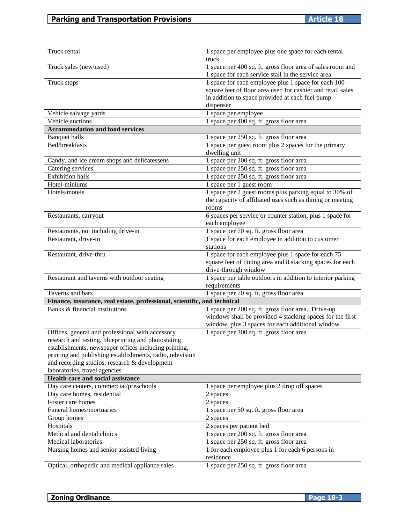| Truck rental                                                                                                                                                                                                                                                                                                    | 1 space per employee plus one space for each rental<br>truck                                                                                                                       |
|-----------------------------------------------------------------------------------------------------------------------------------------------------------------------------------------------------------------------------------------------------------------------------------------------------------------|------------------------------------------------------------------------------------------------------------------------------------------------------------------------------------|
| Truck sales (new/used)                                                                                                                                                                                                                                                                                          | 1 space per 400 sq. ft. gross floor area of sales room and<br>1 space for each service stall in the service area                                                                   |
| Truck stops                                                                                                                                                                                                                                                                                                     | 1 space for each employee plus 1 space for each 100<br>square feet of floor area used for cashier and retail sales<br>in addition to space provided at each fuel pump<br>dispenser |
| Vehicle salvage yards                                                                                                                                                                                                                                                                                           | 1 space per employee                                                                                                                                                               |
| Vehicle auctions                                                                                                                                                                                                                                                                                                | 1 space per 400 sq. ft. gross floor area                                                                                                                                           |
| <b>Accommodation and food services</b>                                                                                                                                                                                                                                                                          |                                                                                                                                                                                    |
| <b>Banquet halls</b>                                                                                                                                                                                                                                                                                            | 1 space per 250 sq. ft. gross floor area                                                                                                                                           |
| Bed/breakfasts                                                                                                                                                                                                                                                                                                  | 1 space per guest room plus 2 spaces for the primary<br>dwelling unit                                                                                                              |
| Candy, and ice cream shops and delicatessens                                                                                                                                                                                                                                                                    | 1 space per 200 sq. ft. gross floor area                                                                                                                                           |
| Catering services                                                                                                                                                                                                                                                                                               | 1 space per 250 sq. ft. gross floor area                                                                                                                                           |
| <b>Exhibition halls</b>                                                                                                                                                                                                                                                                                         | 1 space per 250 sq. ft. gross floor area                                                                                                                                           |
| Hotel-miniums                                                                                                                                                                                                                                                                                                   | 1 space per 1 guest room                                                                                                                                                           |
| Hotels/motels                                                                                                                                                                                                                                                                                                   | 1 space per 2 guest rooms plus parking equal to 30% of<br>the capacity of affiliated uses such as dining or meeting<br>rooms                                                       |
| Restaurants, carryout                                                                                                                                                                                                                                                                                           | 6 spaces per service or counter station, plus 1 space for<br>each employee                                                                                                         |
| Restaurants, not including drive-in                                                                                                                                                                                                                                                                             | 1 space per 70 sq. ft. gross floor area                                                                                                                                            |
| Restaurant, drive-in                                                                                                                                                                                                                                                                                            | 1 space for each employee in addition to customer<br>stations                                                                                                                      |
| Restaurant, drive-thru                                                                                                                                                                                                                                                                                          | 1 space for each employee plus 1 space for each 75<br>square feet of dining area and 8 stacking spaces for each<br>drive-through window                                            |
| Restaurant and taverns with outdoor seating                                                                                                                                                                                                                                                                     | 1 space per table outdoors in addition to interior parking<br>requirements                                                                                                         |
| Taverns and bars                                                                                                                                                                                                                                                                                                | 1 space per 70 sq. ft. gross floor area                                                                                                                                            |
| Finance, insurance, real estate, professional, scientific, and technical                                                                                                                                                                                                                                        |                                                                                                                                                                                    |
| Banks & financial institutions                                                                                                                                                                                                                                                                                  | 1 space per 200 sq. ft. gross floor area. Drive-up<br>windows shall be provided 4 stacking spaces for the first<br>window, plus 3 spaces for each additional window.               |
| Offices, general and professional with accessory<br>research and testing, blueprinting and photostating<br>establishments, newspaper offices including printing,<br>printing and publishing establishments, radio, television<br>and recording studios, research & development<br>laboratories, travel agencies | 1 space per 300 sq. ft. gross floor area                                                                                                                                           |
| Health care and social assistance                                                                                                                                                                                                                                                                               |                                                                                                                                                                                    |
| Day care centers, commercial/preschools                                                                                                                                                                                                                                                                         | 1 space per employee plus 2 drop off spaces                                                                                                                                        |
| Day care homes, residential                                                                                                                                                                                                                                                                                     | 2 spaces                                                                                                                                                                           |
| Foster care homes                                                                                                                                                                                                                                                                                               | 2 spaces                                                                                                                                                                           |
| Funeral homes/mortuaries                                                                                                                                                                                                                                                                                        | 1 space per 50 sq. ft. gross floor area                                                                                                                                            |
| Group homes                                                                                                                                                                                                                                                                                                     | 2 spaces                                                                                                                                                                           |
| Hospitals                                                                                                                                                                                                                                                                                                       | 2 spaces per patient bed                                                                                                                                                           |
| Medical and dental clinics                                                                                                                                                                                                                                                                                      | 1 space per 200 sq. ft. gross floor area                                                                                                                                           |
| Medical laboratories                                                                                                                                                                                                                                                                                            | 1 space per 250 sq. ft. gross floor area                                                                                                                                           |
| Nursing homes and senior assisted living                                                                                                                                                                                                                                                                        | 1 for each employee plus 1 for each 6 persons in<br>residence                                                                                                                      |
| Optical, orthopedic and medical appliance sales                                                                                                                                                                                                                                                                 | 1 space per 250 sq. ft. gross floor area                                                                                                                                           |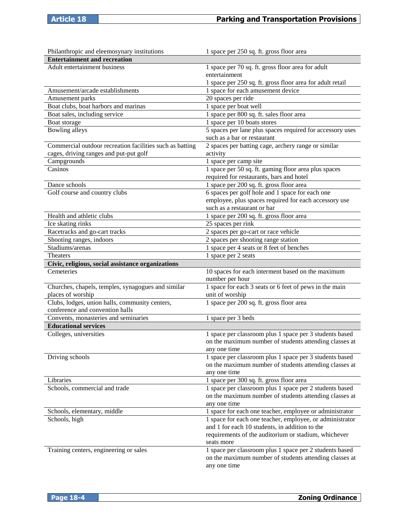| Philanthropic and eleemosynary institutions                                       | 1 space per 250 sq. ft. gross floor area                                                                                          |
|-----------------------------------------------------------------------------------|-----------------------------------------------------------------------------------------------------------------------------------|
| <b>Entertainment and recreation</b>                                               |                                                                                                                                   |
| Adult entertainment business                                                      | 1 space per 70 sq. ft. gross floor area for adult                                                                                 |
|                                                                                   | entertainment                                                                                                                     |
|                                                                                   | 1 space per 250 sq. ft. gross floor area for adult retail                                                                         |
| Amusement/arcade establishments                                                   | 1 space for each amusement device                                                                                                 |
| Amusement parks                                                                   | 20 spaces per ride                                                                                                                |
| Boat clubs, boat harbors and marinas                                              | 1 space per boat well                                                                                                             |
| Boat sales, including service                                                     | 1 space per 800 sq. ft. sales floor area                                                                                          |
| Boat storage                                                                      | 1 space per 10 boats stores                                                                                                       |
| Bowling alleys                                                                    | 5 spaces per lane plus spaces required for accessory uses<br>such as a bar or restaurant                                          |
| Commercial outdoor recreation facilities such as batting                          | 2 spaces per batting cage, archery range or similar                                                                               |
| cages, driving ranges and put-put golf                                            | activity                                                                                                                          |
| Campgrounds                                                                       | 1 space per camp site                                                                                                             |
| Casinos                                                                           | 1 space per 50 sq. ft. gaming floor area plus spaces                                                                              |
|                                                                                   | required for restaurants, bars and hotel                                                                                          |
| Dance schools                                                                     | 1 space per 200 sq. ft. gross floor area                                                                                          |
| Golf course and country clubs                                                     | 6 spaces per golf hole and 1 space for each one                                                                                   |
|                                                                                   | employee, plus spaces required for each accessory use                                                                             |
|                                                                                   | such as a restaurant or bar                                                                                                       |
| Health and athletic clubs                                                         | 1 space per 200 sq. ft. gross floor area                                                                                          |
| Ice skating rinks                                                                 | 25 spaces per rink                                                                                                                |
| Racetracks and go-cart tracks                                                     | 2 spaces per go-cart or race vehicle                                                                                              |
| Shooting ranges, indoors                                                          | 2 spaces per shooting range station                                                                                               |
| Stadiums/arenas                                                                   | 1 space per 4 seats or 8 feet of benches                                                                                          |
| <b>Theaters</b>                                                                   | 1 space per 2 seats                                                                                                               |
| Civic, religious, social assistance organizations                                 |                                                                                                                                   |
| Cemeteries                                                                        | 10 spaces for each interment based on the maximum<br>number per hour                                                              |
| Churches, chapels, temples, synagogues and similar                                | 1 space for each 3 seats or 6 feet of pews in the main                                                                            |
| places of worship                                                                 | unit of worship                                                                                                                   |
| Clubs, lodges, union halls, community centers,<br>conference and convention halls | 1 space per 200 sq. ft. gross floor area                                                                                          |
| Convents, monasteries and seminaries                                              | 1 space per 3 beds                                                                                                                |
| <b>Educational services</b>                                                       |                                                                                                                                   |
| Colleges, universities                                                            | 1 space per classroom plus 1 space per 3 students based<br>on the maximum number of students attending classes at<br>any one time |
| Driving schools                                                                   | 1 space per classroom plus 1 space per 3 students based<br>on the maximum number of students attending classes at<br>any one time |
| Libraries                                                                         | 1 space per 300 sq. ft. gross floor area                                                                                          |
| Schools, commercial and trade                                                     | 1 space per classroom plus 1 space per 2 students based                                                                           |
|                                                                                   | on the maximum number of students attending classes at<br>any one time                                                            |
| Schools, elementary, middle                                                       | 1 space for each one teacher, employee or administrator                                                                           |
| Schools, high                                                                     | 1 space for each one teacher, employee, or administrator                                                                          |
|                                                                                   | and 1 for each 10 students, in addition to the                                                                                    |
|                                                                                   | requirements of the auditorium or stadium, whichever                                                                              |
|                                                                                   | seats more                                                                                                                        |
| Training centers, engineering or sales                                            | 1 space per classroom plus 1 space per 2 students based<br>on the maximum number of students attending classes at<br>any one time |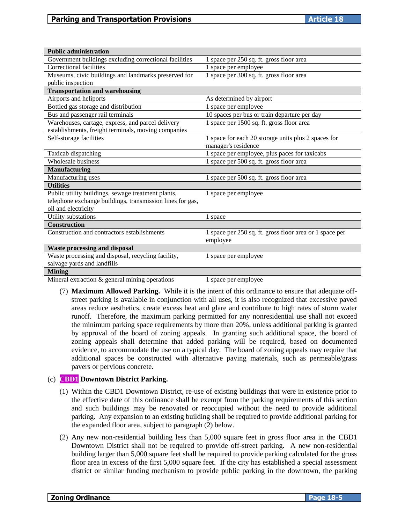| <b>Public administration</b>                              |                                                         |
|-----------------------------------------------------------|---------------------------------------------------------|
| Government buildings excluding correctional facilities    | 1 space per 250 sq. ft. gross floor area                |
| Correctional facilities                                   | 1 space per employee                                    |
| Museums, civic buildings and landmarks preserved for      | 1 space per 300 sq. ft. gross floor area                |
| public inspection                                         |                                                         |
| <b>Transportation and warehousing</b>                     |                                                         |
| Airports and heliports                                    | As determined by airport                                |
| Bottled gas storage and distribution                      | 1 space per employee                                    |
| Bus and passenger rail terminals                          | 10 spaces per bus or train departure per day            |
| Warehouses, cartage, express, and parcel delivery         | 1 space per 1500 sq. ft. gross floor area               |
| establishments, freight terminals, moving companies       |                                                         |
| Self-storage facilities                                   | 1 space for each 20 storage units plus 2 spaces for     |
|                                                           | manager's residence                                     |
| Taxicab dispatching                                       | 1 space per employee, plus paces for taxicabs           |
| Wholesale business                                        | 1 space per 500 sq. ft. gross floor area                |
| <b>Manufacturing</b>                                      |                                                         |
| Manufacturing uses                                        | 1 space per 500 sq. ft. gross floor area                |
| <b>Utilities</b>                                          |                                                         |
| Public utility buildings, sewage treatment plants,        | 1 space per employee                                    |
| telephone exchange buildings, transmission lines for gas, |                                                         |
| oil and electricity                                       |                                                         |
| Utility substations                                       | 1 space                                                 |
| <b>Construction</b>                                       |                                                         |
| Construction and contractors establishments               | 1 space per 250 sq. ft. gross floor area or 1 space per |
|                                                           | employee                                                |
| <b>Waste processing and disposal</b>                      |                                                         |
| Waste processing and disposal, recycling facility,        | 1 space per employee                                    |
| salvage yards and landfills                               |                                                         |
| <b>Mining</b>                                             |                                                         |

Mineral extraction  $\&$  general mining operations 1 space per employee

(7) **Maximum Allowed Parking.** While it is the intent of this ordinance to ensure that adequate offstreet parking is available in conjunction with all uses, it is also recognized that excessive paved areas reduce aesthetics, create excess heat and glare and contribute to high rates of storm water runoff. Therefore, the maximum parking permitted for any nonresidential use shall not exceed the minimum parking space requirements by more than 20%, unless additional parking is granted by approval of the board of zoning appeals. In granting such additional space, the board of zoning appeals shall determine that added parking will be required, based on documented evidence, to accommodate the use on a typical day. The board of zoning appeals may require that additional spaces be constructed with alternative paving materials, such as permeable/grass pavers or pervious concrete.

# (c) **CBD1 Downtown District Parking.**

- (1) Within the CBD1 Downtown District, re-use of existing buildings that were in existence prior to the effective date of this ordinance shall be exempt from the parking requirements of this section and such buildings may be renovated or reoccupied without the need to provide additional parking. Any expansion to an existing building shall be required to provide additional parking for the expanded floor area, subject to paragraph (2) below.
- (2) Any new non-residential building less than 5,000 square feet in gross floor area in the CBD1 Downtown District shall not be required to provide off-street parking. A new non-residential building larger than 5,000 square feet shall be required to provide parking calculated for the gross floor area in excess of the first 5,000 square feet. If the city has established a special assessment district or similar funding mechanism to provide public parking in the downtown, the parking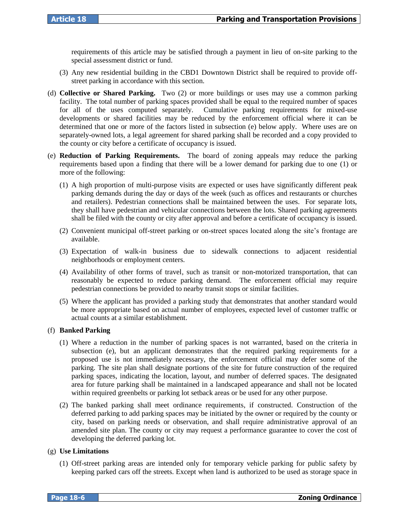requirements of this article may be satisfied through a payment in lieu of on-site parking to the special assessment district or fund.

- (3) Any new residential building in the CBD1 Downtown District shall be required to provide offstreet parking in accordance with this section.
- (d) **Collective or Shared Parking.** Two (2) or more buildings or uses may use a common parking facility. The total number of parking spaces provided shall be equal to the required number of spaces for all of the uses computed separately. Cumulative parking requirements for mixed-use developments or shared facilities may be reduced by the enforcement official where it can be determined that one or more of the factors listed in subsection (e) below apply. Where uses are on separately-owned lots, a legal agreement for shared parking shall be recorded and a copy provided to the county or city before a certificate of occupancy is issued.
- (e) **Reduction of Parking Requirements.** The board of zoning appeals may reduce the parking requirements based upon a finding that there will be a lower demand for parking due to one (1) or more of the following:
	- (1) A high proportion of multi-purpose visits are expected or uses have significantly different peak parking demands during the day or days of the week (such as offices and restaurants or churches and retailers). Pedestrian connections shall be maintained between the uses. For separate lots, they shall have pedestrian and vehicular connections between the lots. Shared parking agreements shall be filed with the county or city after approval and before a certificate of occupancy is issued.
	- (2) Convenient municipal off-street parking or on-street spaces located along the site's frontage are available.
	- (3) Expectation of walk-in business due to sidewalk connections to adjacent residential neighborhoods or employment centers.
	- (4) Availability of other forms of travel, such as transit or non-motorized transportation, that can reasonably be expected to reduce parking demand. The enforcement official may require pedestrian connections be provided to nearby transit stops or similar facilities.
	- (5) Where the applicant has provided a parking study that demonstrates that another standard would be more appropriate based on actual number of employees, expected level of customer traffic or actual counts at a similar establishment.

#### (f) **Banked Parking**

- (1) Where a reduction in the number of parking spaces is not warranted, based on the criteria in subsection (e), but an applicant demonstrates that the required parking requirements for a proposed use is not immediately necessary, the enforcement official may defer some of the parking. The site plan shall designate portions of the site for future construction of the required parking spaces, indicating the location, layout, and number of deferred spaces. The designated area for future parking shall be maintained in a landscaped appearance and shall not be located within required greenbelts or parking lot setback areas or be used for any other purpose.
- (2) The banked parking shall meet ordinance requirements, if constructed. Construction of the deferred parking to add parking spaces may be initiated by the owner or required by the county or city, based on parking needs or observation, and shall require administrative approval of an amended site plan. The county or city may request a performance guarantee to cover the cost of developing the deferred parking lot.

### (g) **Use Limitations**

(1) Off-street parking areas are intended only for temporary vehicle parking for public safety by keeping parked cars off the streets. Except when land is authorized to be used as storage space in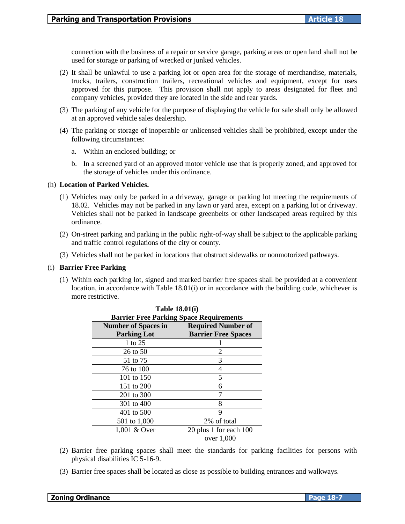connection with the business of a repair or service garage, parking areas or open land shall not be used for storage or parking of wrecked or junked vehicles.

- (2) It shall be unlawful to use a parking lot or open area for the storage of merchandise, materials, trucks, trailers, construction trailers, recreational vehicles and equipment, except for uses approved for this purpose. This provision shall not apply to areas designated for fleet and company vehicles, provided they are located in the side and rear yards.
- (3) The parking of any vehicle for the purpose of displaying the vehicle for sale shall only be allowed at an approved vehicle sales dealership.
- (4) The parking or storage of inoperable or unlicensed vehicles shall be prohibited, except under the following circumstances:
	- a. Within an enclosed building; or
	- b. In a screened yard of an approved motor vehicle use that is properly zoned, and approved for the storage of vehicles under this ordinance.

#### (h) **Location of Parked Vehicles.**

- (1) Vehicles may only be parked in a driveway, garage or parking lot meeting the requirements of 18.02. Vehicles may not be parked in any lawn or yard area, except on a parking lot or driveway. Vehicles shall not be parked in landscape greenbelts or other landscaped areas required by this ordinance.
- (2) On-street parking and parking in the public right-of-way shall be subject to the applicable parking and traffic control regulations of the city or county.
- (3) Vehicles shall not be parked in locations that obstruct sidewalks or nonmotorized pathways.

#### (i) **Barrier Free Parking**

(1) Within each parking lot, signed and marked barrier free spaces shall be provided at a convenient location, in accordance with Table 18.01(i) or in accordance with the building code, whichever is more restrictive.

| <b>1</b> adie 18.01(1)                                  |                                                |
|---------------------------------------------------------|------------------------------------------------|
|                                                         | <b>Barrier Free Parking Space Requirements</b> |
| <b>Number of Spaces in</b><br><b>Required Number of</b> |                                                |
| <b>Parking Lot</b>                                      | <b>Barrier Free Spaces</b>                     |
| 1 to 25                                                 |                                                |
| $26$ to 50                                              | 2                                              |
| 51 to 75                                                | 3                                              |
| 76 to 100                                               | 4                                              |
| 101 to 150                                              | 5                                              |
| 151 to 200                                              | 6                                              |
| 201 to 300                                              | 7                                              |
| 301 to 400                                              | 8                                              |
| 401 to 500                                              | 9                                              |
| 501 to 1,000                                            | 2% of total                                    |
| 1,001 & Over                                            | 20 plus 1 for each 100                         |
|                                                         | over 1,000                                     |

**Table 18.01(i)**

- (2) Barrier free parking spaces shall meet the standards for parking facilities for persons with physical disabilities IC 5-16-9.
- (3) Barrier free spaces shall be located as close as possible to building entrances and walkways.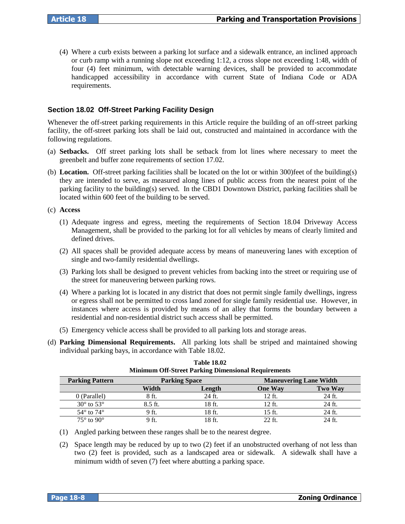(4) Where a curb exists between a parking lot surface and a sidewalk entrance, an inclined approach or curb ramp with a running slope not exceeding 1:12, a cross slope not exceeding 1:48, width of four (4) feet minimum, with detectable warning devices, shall be provided to accommodate handicapped accessibility in accordance with current State of Indiana Code or ADA requirements.

# **Section 18.02 Off-Street Parking Facility Design**

Whenever the off-street parking requirements in this Article require the building of an off-street parking facility, the off-street parking lots shall be laid out, constructed and maintained in accordance with the following regulations.

- (a) **Setbacks.** Off street parking lots shall be setback from lot lines where necessary to meet the greenbelt and buffer zone requirements of section 17.02.
- (b) **Location.** Off-street parking facilities shall be located on the lot or within 300)feet of the building(s) they are intended to serve, as measured along lines of public access from the nearest point of the parking facility to the building(s) served. In the CBD1 Downtown District, parking facilities shall be located within 600 feet of the building to be served.

(c) **Access**

- (1) Adequate ingress and egress, meeting the requirements of Section 18.04 Driveway Access Management, shall be provided to the parking lot for all vehicles by means of clearly limited and defined drives.
- (2) All spaces shall be provided adequate access by means of maneuvering lanes with exception of single and two-family residential dwellings.
- (3) Parking lots shall be designed to prevent vehicles from backing into the street or requiring use of the street for maneuvering between parking rows.
- (4) Where a parking lot is located in any district that does not permit single family dwellings, ingress or egress shall not be permitted to cross land zoned for single family residential use. However, in instances where access is provided by means of an alley that forms the boundary between a residential and non-residential district such access shall be permitted.
- (5) Emergency vehicle access shall be provided to all parking lots and storage areas.
- (d) **Parking Dimensional Requirements.** All parking lots shall be striped and maintained showing individual parking bays, in accordance with Table 18.02.

|                              |         | ຼ                    |                |                               |
|------------------------------|---------|----------------------|----------------|-------------------------------|
| <b>Parking Pattern</b>       |         | <b>Parking Space</b> |                | <b>Maneuvering Lane Width</b> |
|                              | Width   | Length               | <b>One Way</b> | <b>Two Way</b>                |
| 0 (Parallel)                 | 8 ft.   | 24 ft.               | 12 ft.         | 24 ft.                        |
| $30^{\circ}$ to $53^{\circ}$ | 8.5 ft. | 18 ft.               | 12 ft.         | 24 ft.                        |
| $54^{\circ}$ to $74^{\circ}$ | 9 ft.   | 18 ft.               | 15 ft.         | 24 ft.                        |
| $75^\circ$ to $90^\circ$     | 9 ft.   | !8 ft                | 22 ft.         | 24 ft.                        |

**Table 18.02 Minimum Off-Street Parking Dimensional Requirements**

(2) Space length may be reduced by up to two (2) feet if an unobstructed overhang of not less than two (2) feet is provided, such as a landscaped area or sidewalk. A sidewalk shall have a minimum width of seven (7) feet where abutting a parking space.

<sup>(1)</sup> Angled parking between these ranges shall be to the nearest degree.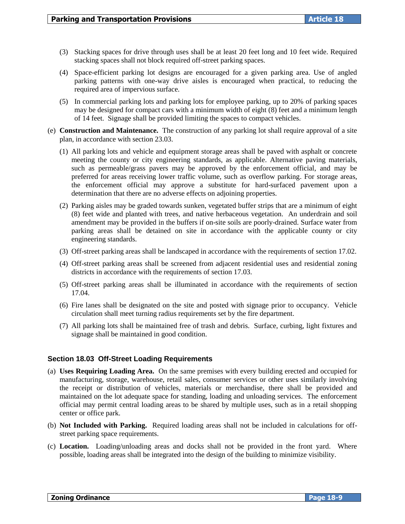- (3) Stacking spaces for drive through uses shall be at least 20 feet long and 10 feet wide. Required stacking spaces shall not block required off-street parking spaces.
- (4) Space-efficient parking lot designs are encouraged for a given parking area. Use of angled parking patterns with one-way drive aisles is encouraged when practical, to reducing the required area of impervious surface.
- (5) In commercial parking lots and parking lots for employee parking, up to 20% of parking spaces may be designed for compact cars with a minimum width of eight (8) feet and a minimum length of 14 feet. Signage shall be provided limiting the spaces to compact vehicles.
- (e) **Construction and Maintenance.** The construction of any parking lot shall require approval of a site plan, in accordance with section 23.03.
	- (1) All parking lots and vehicle and equipment storage areas shall be paved with asphalt or concrete meeting the county or city engineering standards, as applicable. Alternative paving materials, such as permeable/grass pavers may be approved by the enforcement official, and may be preferred for areas receiving lower traffic volume, such as overflow parking. For storage areas, the enforcement official may approve a substitute for hard-surfaced pavement upon a determination that there are no adverse effects on adjoining properties.
	- (2) Parking aisles may be graded towards sunken, vegetated buffer strips that are a minimum of eight (8) feet wide and planted with trees, and native herbaceous vegetation. An underdrain and soil amendment may be provided in the buffers if on-site soils are poorly-drained. Surface water from parking areas shall be detained on site in accordance with the applicable county or city engineering standards.
	- (3) Off-street parking areas shall be landscaped in accordance with the requirements of section 17.02.
	- (4) Off-street parking areas shall be screened from adjacent residential uses and residential zoning districts in accordance with the requirements of section 17.03.
	- (5) Off-street parking areas shall be illuminated in accordance with the requirements of section 17.04.
	- (6) Fire lanes shall be designated on the site and posted with signage prior to occupancy. Vehicle circulation shall meet turning radius requirements set by the fire department.
	- (7) All parking lots shall be maintained free of trash and debris. Surface, curbing, light fixtures and signage shall be maintained in good condition.

# **Section 18.03 Off-Street Loading Requirements**

- (a) **Uses Requiring Loading Area.** On the same premises with every building erected and occupied for manufacturing, storage, warehouse, retail sales, consumer services or other uses similarly involving the receipt or distribution of vehicles, materials or merchandise, there shall be provided and maintained on the lot adequate space for standing, loading and unloading services. The enforcement official may permit central loading areas to be shared by multiple uses, such as in a retail shopping center or office park.
- (b) **Not Included with Parking.** Required loading areas shall not be included in calculations for offstreet parking space requirements.
- (c) **Location.** Loading/unloading areas and docks shall not be provided in the front yard. Where possible, loading areas shall be integrated into the design of the building to minimize visibility.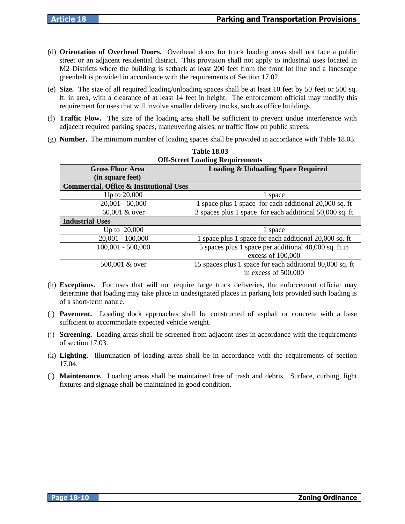- (d) **Orientation of Overhead Doors.** Overhead doors for truck loading areas shall not face a public street or an adjacent residential district. This provision shall not apply to industrial uses located in M2 Districts where the building is setback at least 200 feet from the front lot line and a landscape greenbelt is provided in accordance with the requirements of Section 17.02.
- (e) **Size.** The size of all required loading/unloading spaces shall be at least 10 feet by 50 feet or 500 sq. ft. in area, with a clearance of at least 14 feet in height. The enforcement official may modify this requirement for uses that will involve smaller delivery trucks, such as office buildings.
- (f) **Traffic Flow.** The size of the loading area shall be sufficient to prevent undue interference with adjacent required parking spaces, maneuvering aisles, or traffic flow on public streets.
- (g) **Number.** The minimum number of loading spaces shall be provided in accordance with Table 18.03.

| <b>Off-Street Loading Requirements</b>             |                                                          |  |
|----------------------------------------------------|----------------------------------------------------------|--|
| <b>Gross Floor Area</b>                            | <b>Loading &amp; Unloading Space Required</b>            |  |
| (in square feet)                                   |                                                          |  |
| <b>Commercial, Office &amp; Institutional Uses</b> |                                                          |  |
| Up to 20,000                                       | 1 space                                                  |  |
| $20,001 - 60,000$                                  | 1 space plus 1 space for each additional 20,000 sq. ft   |  |
| $60,001$ & over                                    | 3 spaces plus 1 space for each additional 50,000 sq. ft  |  |
| <b>Industrial Uses</b>                             |                                                          |  |
| Up to 20,000                                       | 1 space                                                  |  |
| $20,001 - 100,000$                                 | 1 space plus 1 space for each additional 20,000 sq. ft   |  |
| $100,001 - 500,000$                                | 5 spaces plus 1 space per additional 40,000 sq. ft in    |  |
|                                                    | excess of 100,000                                        |  |
| 500,001 & over                                     | 15 spaces plus 1 space for each additional 80,000 sq. ft |  |
|                                                    | in excess of 500,000                                     |  |

# **Table 18.03**

- (h) **Exceptions.** For uses that will not require large truck deliveries, the enforcement official may determine that loading may take place in undesignated places in parking lots provided such loading is of a short-term nature.
- (i) **Pavement.** Loading dock approaches shall be constructed of asphalt or concrete with a base sufficient to accommodate expected vehicle weight.
- (j) **Screening.** Loading areas shall be screened from adjacent uses in accordance with the requirements of section 17.03.
- (k) **Lighting.** Illumination of loading areas shall be in accordance with the requirements of section 17.04.
- (l) **Maintenance.** Loading areas shall be maintained free of trash and debris. Surface, curbing, light fixtures and signage shall be maintained in good condition.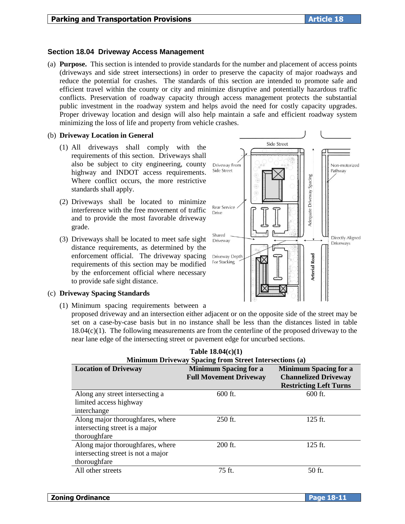# **Section 18.04 Driveway Access Management**

(a) **Purpose.** This section is intended to provide standards for the number and placement of access points (driveways and side street intersections) in order to preserve the capacity of major roadways and reduce the potential for crashes. The standards of this section are intended to promote safe and efficient travel within the county or city and minimize disruptive and potentially hazardous traffic conflicts. Preservation of roadway capacity through access management protects the substantial public investment in the roadway system and helps avoid the need for costly capacity upgrades. Proper driveway location and design will also help maintain a safe and efficient roadway system minimizing the loss of life and property from vehicle crashes.

#### (b) **Driveway Location in General**

- (1) All driveways shall comply with the requirements of this section. Driveways shall also be subject to city engineering, county highway and INDOT access requirements. Where conflict occurs, the more restrictive standards shall apply.
- (2) Driveways shall be located to minimize interference with the free movement of traffic and to provide the most favorable driveway grade.
- (3) Driveways shall be located to meet safe sight distance requirements, as determined by the enforcement official. The driveway spacing requirements of this section may be modified by the enforcement official where necessary to provide safe sight distance.

# (c) **Driveway Spacing Standards**

(1) Minimum spacing requirements between a

proposed driveway and an intersection either adjacent or on the opposite side of the street may be set on a case-by-case basis but in no instance shall be less than the distances listed in table  $18.04(c)(1)$ . The following measurements are from the centerline of the proposed driveway to the near lane edge of the intersecting street or pavement edge for uncurbed sections.

|  | Table $18.04(c)(1)$                                           |  |
|--|---------------------------------------------------------------|--|
|  | <b>Minimum Driveway Spacing from Street Intersections (a)</b> |  |
|  |                                                               |  |

| <b>Location of Driveway</b>        | <b>Minimum Spacing for a</b><br><b>Full Movement Driveway</b> | <b>Minimum Spacing for a</b><br><b>Channelized Driveway</b> |
|------------------------------------|---------------------------------------------------------------|-------------------------------------------------------------|
|                                    |                                                               | <b>Restricting Left Turns</b>                               |
| Along any street intersecting a    | $600$ ft.                                                     | $600$ ft.                                                   |
| limited access highway             |                                                               |                                                             |
| interchange                        |                                                               |                                                             |
| Along major thoroughfares, where   | 250 ft.                                                       | $125$ ft.                                                   |
| intersecting street is a major     |                                                               |                                                             |
| thoroughfare                       |                                                               |                                                             |
| Along major thoroughfares, where   | 200 ft.                                                       | $125$ ft.                                                   |
| intersecting street is not a major |                                                               |                                                             |
| thoroughfare                       |                                                               |                                                             |
| All other streets                  | 75 ft.                                                        | 50 ft.                                                      |
|                                    |                                                               |                                                             |

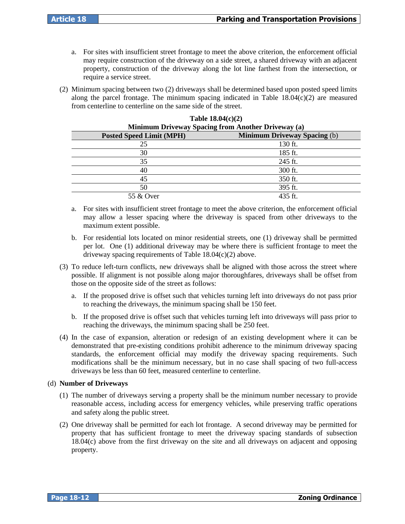- a. For sites with insufficient street frontage to meet the above criterion, the enforcement official may require construction of the driveway on a side street, a shared driveway with an adjacent property, construction of the driveway along the lot line farthest from the intersection, or require a service street.
- (2) Minimum spacing between two (2) driveways shall be determined based upon posted speed limits along the parcel frontage. The minimum spacing indicated in Table  $18.04(c)(2)$  are measured from centerline to centerline on the same side of the street.

| Minimum Driveway Spacing from Another Driveway (a) |                                     |  |
|----------------------------------------------------|-------------------------------------|--|
| <b>Posted Speed Limit (MPH)</b>                    | <b>Minimum Driveway Spacing (b)</b> |  |
| 25                                                 | 130 ft.                             |  |
| 30                                                 | $185$ ft.                           |  |
| 35                                                 | 245 ft.                             |  |
| 40                                                 | 300 ft.                             |  |
| 45                                                 | 350 ft.                             |  |
| 50                                                 | 395 ft.                             |  |
| 55 & Over                                          | 435 ft.                             |  |

| Table $18.04(c)(2)$                                |
|----------------------------------------------------|
| Minimum Driveway Spacing from Another Driveway (a) |

- a. For sites with insufficient street frontage to meet the above criterion, the enforcement official may allow a lesser spacing where the driveway is spaced from other driveways to the maximum extent possible.
- b. For residential lots located on minor residential streets, one (1) driveway shall be permitted per lot. One (1) additional driveway may be where there is sufficient frontage to meet the driveway spacing requirements of Table 18.04(c)(2) above.
- (3) To reduce left-turn conflicts, new driveways shall be aligned with those across the street where possible. If alignment is not possible along major thoroughfares, driveways shall be offset from those on the opposite side of the street as follows:
	- a. If the proposed drive is offset such that vehicles turning left into driveways do not pass prior to reaching the driveways, the minimum spacing shall be 150 feet.
	- b. If the proposed drive is offset such that vehicles turning left into driveways will pass prior to reaching the driveways, the minimum spacing shall be 250 feet.
- (4) In the case of expansion, alteration or redesign of an existing development where it can be demonstrated that pre-existing conditions prohibit adherence to the minimum driveway spacing standards, the enforcement official may modify the driveway spacing requirements. Such modifications shall be the minimum necessary, but in no case shall spacing of two full-access driveways be less than 60 feet, measured centerline to centerline.

# (d) **Number of Driveways**

- (1) The number of driveways serving a property shall be the minimum number necessary to provide reasonable access, including access for emergency vehicles, while preserving traffic operations and safety along the public street.
- (2) One driveway shall be permitted for each lot frontage. A second driveway may be permitted for property that has sufficient frontage to meet the driveway spacing standards of subsection 18.04(c) above from the first driveway on the site and all driveways on adjacent and opposing property.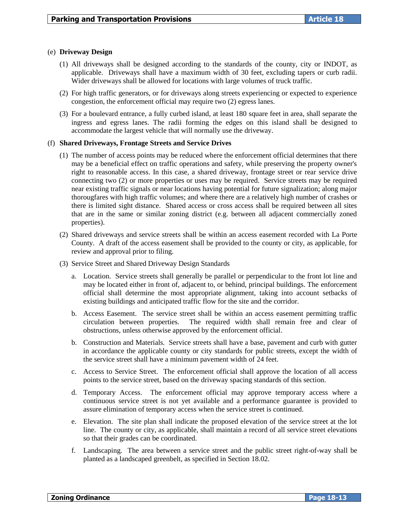#### (e) **Driveway Design**

- (1) All driveways shall be designed according to the standards of the county, city or INDOT, as applicable. Driveways shall have a maximum width of 30 feet, excluding tapers or curb radii. Wider driveways shall be allowed for locations with large volumes of truck traffic.
- (2) For high traffic generators, or for driveways along streets experiencing or expected to experience congestion, the enforcement official may require two (2) egress lanes.
- (3) For a boulevard entrance, a fully curbed island, at least 180 square feet in area, shall separate the ingress and egress lanes. The radii forming the edges on this island shall be designed to accommodate the largest vehicle that will normally use the driveway.

#### (f) **Shared Driveways, Frontage Streets and Service Drives**

- (1) The number of access points may be reduced where the enforcement official determines that there may be a beneficial effect on traffic operations and safety, while preserving the property owner's right to reasonable access. In this case, a shared driveway, frontage street or rear service drive connecting two (2) or more properties or uses may be required. Service streets may be required near existing traffic signals or near locations having potential for future signalization; along major thorougfares with high traffic volumes; and where there are a relatively high number of crashes or there is limited sight distance. Shared access or cross access shall be required between all sites that are in the same or similar zoning district (e.g. between all adjacent commercially zoned properties).
- (2) Shared driveways and service streets shall be within an access easement recorded with La Porte County. A draft of the access easement shall be provided to the county or city, as applicable, for review and approval prior to filing.
- (3) Service Street and Shared Driveway Design Standards
	- a. Location. Service streets shall generally be parallel or perpendicular to the front lot line and may be located either in front of, adjacent to, or behind, principal buildings. The enforcement official shall determine the most appropriate alignment, taking into account setbacks of existing buildings and anticipated traffic flow for the site and the corridor.
	- b. Access Easement. The service street shall be within an access easement permitting traffic circulation between properties. The required width shall remain free and clear of obstructions, unless otherwise approved by the enforcement official.
	- b. Construction and Materials. Service streets shall have a base, pavement and curb with gutter in accordance the applicable county or city standards for public streets, except the width of the service street shall have a minimum pavement width of 24 feet.
	- c. Access to Service Street. The enforcement official shall approve the location of all access points to the service street, based on the driveway spacing standards of this section.
	- d. Temporary Access. The enforcement official may approve temporary access where a continuous service street is not yet available and a performance guarantee is provided to assure elimination of temporary access when the service street is continued.
	- e. Elevation. The site plan shall indicate the proposed elevation of the service street at the lot line. The county or city, as applicable, shall maintain a record of all service street elevations so that their grades can be coordinated.
	- f. Landscaping. The area between a service street and the public street right-of-way shall be planted as a landscaped greenbelt, as specified in Section 18.02.